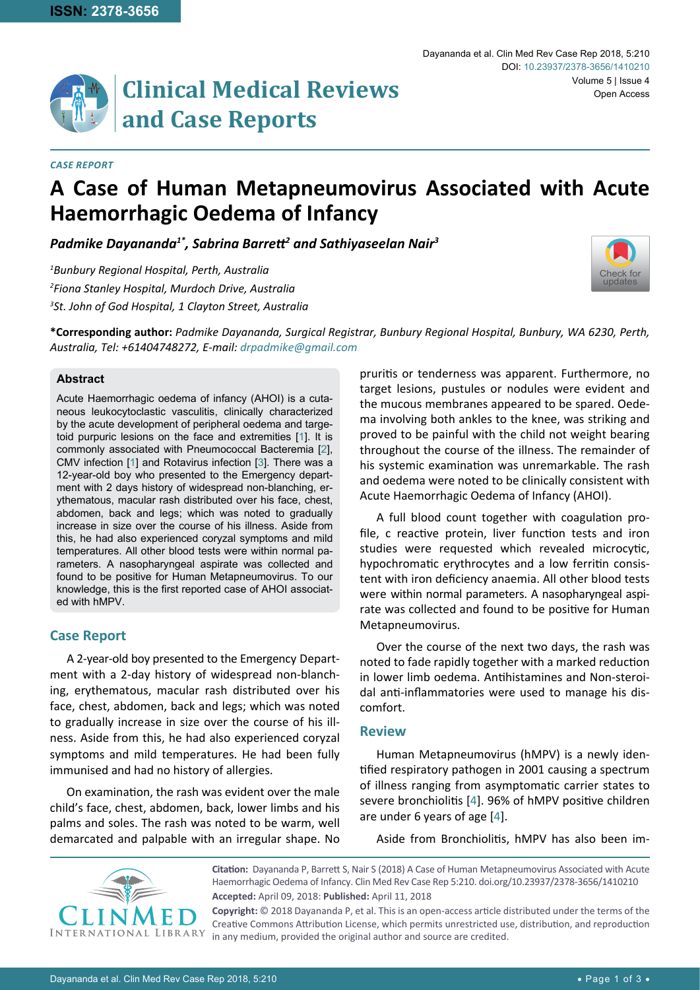

#### *Case Report*

# **A Case of Human Metapneumovirus Associated with Acute Haemorrhagic Oedema of Infancy**

*Padmike Dayananda1\*, Sabrina Barrett<sup>2</sup> and Sathiyaseelan Nair3*

*1 Bunbury Regional Hospital, Perth, Australia 2 Fiona Stanley Hospital, Murdoch Drive, Australia 3 St. John of God Hospital, 1 Clayton Street, Australia*

**\*Corresponding author:** *Padmike Dayananda, Surgical Registrar, Bunbury Regional Hospital, Bunbury, WA 6230, Perth, Australia, Tel: +61404748272, E-mail: drpadmike@gmail.com*

#### **Abstract**

Acute Haemorrhagic oedema of infancy (AHOI) is a cutaneous leukocytoclastic vasculitis, clinically characterized by the acute development of peripheral oedema and targetoid purpuric lesions on the face and extremities [\[1](#page-1-0)]. It is commonly associated with Pneumococcal Bacteremia [\[2](#page-1-1)], CMV infection [\[1](#page-1-0)] and Rotavirus infection [\[3](#page-1-2)]. There was a 12-year-old boy who presented to the Emergency department with 2 days history of widespread non-blanching, erythematous, macular rash distributed over his face, chest, abdomen, back and legs; which was noted to gradually increase in size over the course of his illness. Aside from this, he had also experienced coryzal symptoms and mild temperatures. All other blood tests were within normal parameters. A nasopharyngeal aspirate was collected and found to be positive for Human Metapneumovirus. To our knowledge, this is the first reported case of AHOI associated with hMPV.

#### **Case Report**

A 2-year-old boy presented to the Emergency Department with a 2-day history of widespread non-blanching, erythematous, macular rash distributed over his face, chest, abdomen, back and legs; which was noted to gradually increase in size over the course of his illness. Aside from this, he had also experienced coryzal symptoms and mild temperatures. He had been fully immunised and had no history of allergies.

On examination, the rash was evident over the male child's face, chest, abdomen, back, lower limbs and his palms and soles. The rash was noted to be warm, well demarcated and palpable with an irregular shape. No pruritis or tenderness was apparent. Furthermore, no target lesions, pustules or nodules were evident and the mucous membranes appeared to be spared. Oedema involving both ankles to the knee, was striking and proved to be painful with the child not weight bearing throughout the course of the illness. The remainder of his systemic examination was unremarkable. The rash and oedema were noted to be clinically consistent with Acute Haemorrhagic Oedema of Infancy (AHOI).

A full blood count together with coagulation profile, c reactive protein, liver function tests and iron studies were requested which revealed microcytic, hypochromatic erythrocytes and a low ferritin consistent with iron deficiency anaemia. All other blood tests were within normal parameters. A nasopharyngeal aspirate was collected and found to be positive for Human Metapneumovirus.

Over the course of the next two days, the rash was noted to fade rapidly together with a marked reduction in lower limb oedema. Antihistamines and Non-steroidal anti-inflammatories were used to manage his discomfort.

#### **Review**

Human Metapneumovirus (hMPV) is a newly identified respiratory pathogen in 2001 causing a spectrum of illness ranging from asymptomatic carrier states to severe bronchiolitis [\[4\]](#page-1-3). 96% of hMPV positive children are under 6 years of age [\[4\]](#page-1-3).

Aside from Bronchiolitis, hMPV has also been im-



**Citation:** Dayananda P, Barrett S, Nair S (2018) A Case of Human Metapneumovirus Associated with Acute Haemorrhagic Oedema of Infancy. Clin Med Rev Case Rep 5:210. [doi.org/10.23937/2378-3656/1410210](https://doi.org/10.23937/2378-3656/1410210) **Accepted:** April 09, 2018: **Published:** April 11, 2018

**Copyright:** © 2018 Dayananda P, et al. This is an open-access article distributed under the terms of the Creative Commons Attribution License, which permits unrestricted use, distribution, and reproduction in any medium, provided the original author and source are credited.